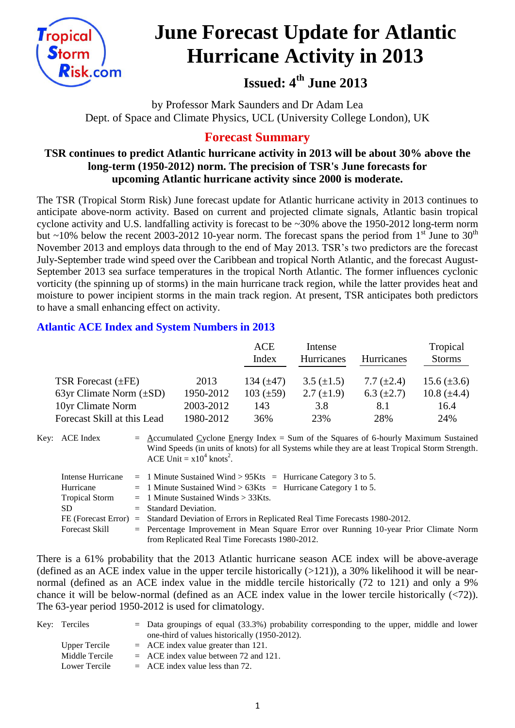

# **June Forecast Update for Atlantic Hurricane Activity in 2013**

# **Issued: 4 th June 2013**

by Professor Mark Saunders and Dr Adam Lea Dept. of Space and Climate Physics, UCL (University College London), UK

# **Forecast Summary**

# **TSR continues to predict Atlantic hurricane activity in 2013 will be about 30% above the long-term (1950-2012) norm. The precision of TSR's June forecasts for upcoming Atlantic hurricane activity since 2000 is moderate.**

The TSR (Tropical Storm Risk) June forecast update for Atlantic hurricane activity in 2013 continues to anticipate above-norm activity. Based on current and projected climate signals, Atlantic basin tropical cyclone activity and U.S. landfalling activity is forecast to be ~30% above the 1950-2012 long-term norm but ~10% below the recent 2003-2012 10-year norm. The forecast spans the period from  $1<sup>st</sup>$  June to 30<sup>th</sup> November 2013 and employs data through to the end of May 2013. TSR's two predictors are the forecast July-September trade wind speed over the Caribbean and tropical North Atlantic, and the forecast August-September 2013 sea surface temperatures in the tropical North Atlantic. The former influences cyclonic vorticity (the spinning up of storms) in the main hurricane track region, while the latter provides heat and moisture to power incipient storms in the main track region. At present, TSR anticipates both predictors to have a small enhancing effect on activity.

# **Atlantic ACE Index and System Numbers in 2013**

|                              |           | ACE<br>Index   | Intense<br>Hurricanes | <b>Hurricanes</b> | Tropical<br><b>Storms</b> |
|------------------------------|-----------|----------------|-----------------------|-------------------|---------------------------|
| TSR Forecast $(\pm FE)$      | 2013      | 134 $(\pm 47)$ | $3.5 (\pm 1.5)$       | 7.7 $(\pm 2.4)$   | 15.6 $(\pm 3.6)$          |
| 63yr Climate Norm $(\pm SD)$ | 1950-2012 | $103 (\pm 59)$ | 2.7 $(\pm 1.9)$       | 6.3 $(\pm 2.7)$   | 10.8 $(\pm 4.4)$          |
| 10yr Climate Norm            | 2003-2012 | 143            | 3.8                   | 8.1               | 16.4                      |
| Forecast Skill at this Lead  | 1980-2012 | 36%            | 23%                   | 28%               | 24%                       |

Key: ACE Index  $=$  Accumulated Cyclone Energy Index = Sum of the Squares of 6-hourly Maximum Sustained Wind Speeds (in units of knots) for all Systems while they are at least Tropical Storm Strength. ACE Unit =  $x10^4$  knots<sup>2</sup>.

|                       | Intense Hurricane = 1 Minute Sustained Wind > $95Kts$ = Hurricane Category 3 to 5.              |
|-----------------------|-------------------------------------------------------------------------------------------------|
| Hurricane             | $=$ 1 Minute Sustained Wind > 63Kts $=$ Hurricane Category 1 to 5.                              |
| <b>Tropical Storm</b> | $=$ 1 Minute Sustained Winds $>$ 33Kts.                                                         |
| SD.                   | $=$ Standard Deviation.                                                                         |
|                       | FE (Forecast Error) = Standard Deviation of Errors in Replicated Real Time Forecasts 1980-2012. |
| <b>Forecast Skill</b> | $=$ Percentage Improvement in Mean Square Error over Running 10-year Prior Climate Norm         |
|                       | from Replicated Real Time Forecasts 1980-2012.                                                  |

There is a 61% probability that the 2013 Atlantic hurricane season ACE index will be above-average (defined as an ACE index value in the upper tercile historically  $(>121)$ ), a 30% likelihood it will be nearnormal (defined as an ACE index value in the middle tercile historically (72 to 121) and only a 9% chance it will be below-normal (defined as an ACE index value in the lower tercile historically  $(\langle 72 \rangle)$ ). The 63-year period 1950-2012 is used for climatology.

| Key: Terciles  | $=$ Data groupings of equal (33.3%) probability corresponding to the upper, middle and lower |
|----------------|----------------------------------------------------------------------------------------------|
|                | one-third of values historically (1950-2012).                                                |
| Upper Tercile  | $=$ ACE index value greater than 121.                                                        |
| Middle Tercile | $=$ ACE index value between 72 and 121.                                                      |
| Lower Tercile  | $=$ ACE index value less than 72.                                                            |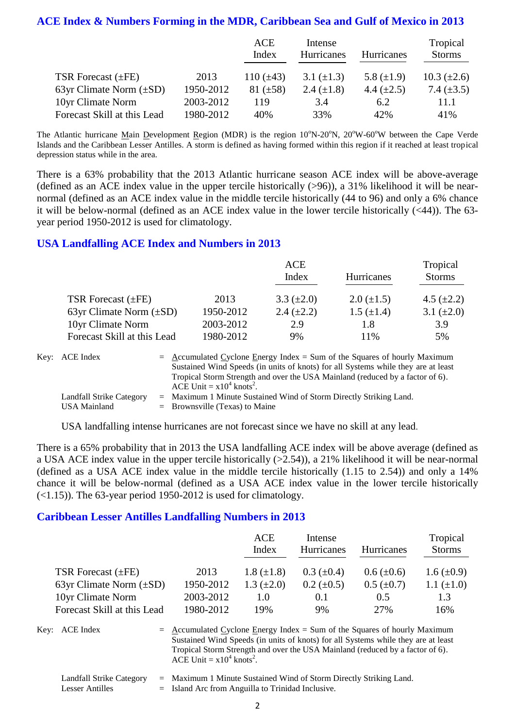#### **ACE Index & Numbers Forming in the MDR, Caribbean Sea and Gulf of Mexico in 2013**

|                              |           | ACE<br>Index   | Intense<br>Hurricanes | <b>Hurricanes</b> | Tropical<br><b>Storms</b> |
|------------------------------|-----------|----------------|-----------------------|-------------------|---------------------------|
| TSR Forecast $(\pm FE)$      | 2013      | 110 $(\pm 43)$ | 3.1 $(\pm 1.3)$       | 5.8 $(\pm 1.9)$   | $10.3 \ (\pm 2.6)$        |
| 63yr Climate Norm $(\pm SD)$ | 1950-2012 | $81 (\pm 58)$  | 2.4 $(\pm 1.8)$       | 4.4 $(\pm 2.5)$   | 7.4 $(\pm 3.5)$           |
| 10yr Climate Norm            | 2003-2012 | 119            | 3.4                   | 6.2               | 11.1                      |
| Forecast Skill at this Lead  | 1980-2012 | 40%            | 33%                   | 42%               | 41%                       |

The Atlantic hurricane Main Development Region (MDR) is the region  $10^{\circ}$ N-20 $^{\circ}$ N,  $20^{\circ}$ W-60 $^{\circ}$ W between the Cape Verde Islands and the Caribbean Lesser Antilles. A storm is defined as having formed within this region if it reached at least tropical depression status while in the area.

There is a 63% probability that the 2013 Atlantic hurricane season ACE index will be above-average (defined as an ACE index value in the upper tercile historically (>96)), a 31% likelihood it will be nearnormal (defined as an ACE index value in the middle tercile historically (44 to 96) and only a 6% chance it will be below-normal (defined as an ACE index value in the lower tercile historically (<44)). The 63 year period 1950-2012 is used for climatology.

#### **USA Landfalling ACE Index and Numbers in 2013**

|                              |           | ACE             |                   | Tropical        |  |
|------------------------------|-----------|-----------------|-------------------|-----------------|--|
|                              |           | Index           | Hurricanes        | <b>Storms</b>   |  |
| TSR Forecast $(\pm FE)$      | 2013      | 3.3 $(\pm 2.0)$ | $2.0 \ (\pm 1.5)$ | 4.5 $(\pm 2.2)$ |  |
| 63yr Climate Norm $(\pm SD)$ | 1950-2012 | 2.4 $(\pm 2.2)$ | $1.5 \ (\pm 1.4)$ | 3.1 $(\pm 2.0)$ |  |
| 10yr Climate Norm            | 2003-2012 | 2.9             | 1.8               | 3.9             |  |
| Forecast Skill at this Lead  | 1980-2012 | 9%              | 11%               | 5%              |  |

| Key: ACE Index                                  | $=$ Accumulated Cyclone Energy Index $=$ Sum of the Squares of hourly Maximum<br>Sustained Wind Speeds (in units of knots) for all Systems while they are at least<br>Tropical Storm Strength and over the USA Mainland (reduced by a factor of 6).<br>ACE Unit = $x10^4$ knots <sup>2</sup> . |
|-------------------------------------------------|------------------------------------------------------------------------------------------------------------------------------------------------------------------------------------------------------------------------------------------------------------------------------------------------|
| Landfall Strike Category<br><b>USA Mainland</b> | $=$ Maximum 1 Minute Sustained Wind of Storm Directly Striking Land.<br>$=$ Brownsville (Texas) to Maine                                                                                                                                                                                       |

USA landfalling intense hurricanes are not forecast since we have no skill at any lead.

There is a 65% probability that in 2013 the USA landfalling ACE index will be above average (defined as a USA ACE index value in the upper tercile historically (>2.54)), a 21% likelihood it will be near-normal (defined as a USA ACE index value in the middle tercile historically (1.15 to 2.54)) and only a 14% chance it will be below-normal (defined as a USA ACE index value in the lower tercile historically  $(\le 1.15)$ ). The 63-year period 1950-2012 is used for climatology.

#### **Caribbean Lesser Antilles Landfalling Numbers in 2013**

|                              |           | ACE<br>Index    | Intense<br>Hurricanes | <b>Hurricanes</b> | Tropical<br><b>Storms</b> |
|------------------------------|-----------|-----------------|-----------------------|-------------------|---------------------------|
| TSR Forecast $(\pm FE)$      | 2013      | $1.8 (\pm 1.8)$ | $0.3~(\pm 0.4)$       | $0.6 (\pm 0.6)$   | $1.6 \ (\pm 0.9)$         |
| 63yr Climate Norm $(\pm SD)$ | 1950-2012 | 1.3 $(\pm 2.0)$ | $0.2 \ (\pm 0.5)$     | $0.5 \ (\pm 0.7)$ | 1.1 $(\pm 1.0)$           |
| 10yr Climate Norm            | 2003-2012 | 1.0             | 0.1                   | 0.5               | 1.3                       |
| Forecast Skill at this Lead  | 1980-2012 | 19%             | 9%                    | 27%               | 16%                       |

Key:  $ACE Index = Accumulated Cyclone Energy Index = Sum of the Squares of hourly Maximum$ Sustained Wind Speeds (in units of knots) for all Systems while they are at least Tropical Storm Strength and over the USA Mainland (reduced by a factor of 6). ACE Unit =  $x10^4$  knots<sup>2</sup>.

Landfall Strike Category = Maximum 1 Minute Sustained Wind of Storm Directly Striking Land.

Lesser Antilles  $=$  Island Arc from Anguilla to Trinidad Inclusive.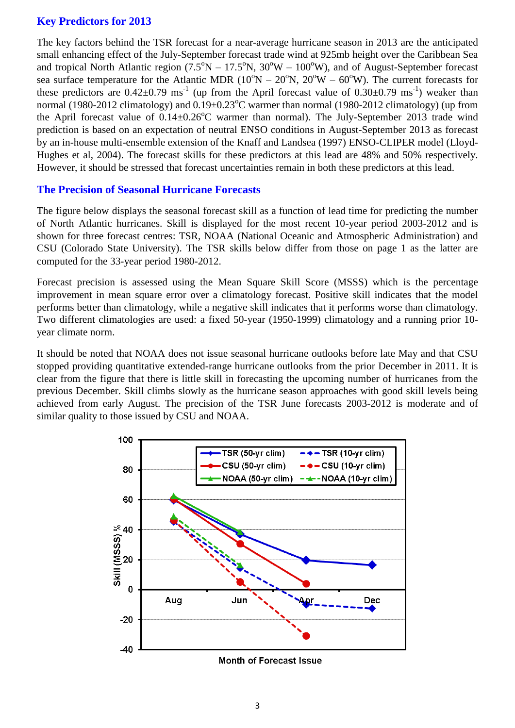# **Key Predictors for 2013**

The key factors behind the TSR forecast for a near-average hurricane season in 2013 are the anticipated small enhancing effect of the July-September forecast trade wind at 925mb height over the Caribbean Sea and tropical North Atlantic region  $(7.5^{\circ}N - 17.5^{\circ}N, 30^{\circ}W - 100^{\circ}W)$ , and of August-September forecast sea surface temperature for the Atlantic MDR ( $10^{\circ}N - 20^{\circ}N$ ,  $20^{\circ}W - 60^{\circ}W$ ). The current forecasts for these predictors are  $0.42 \pm 0.79$  ms<sup>-1</sup> (up from the April forecast value of  $0.30 \pm 0.79$  ms<sup>-1</sup>) weaker than normal (1980-2012 climatology) and  $0.19\pm0.23^{\circ}$ C warmer than normal (1980-2012 climatology) (up from the April forecast value of  $0.14 \pm 0.26^{\circ}$ C warmer than normal). The July-September 2013 trade wind prediction is based on an expectation of neutral ENSO conditions in August-September 2013 as forecast by an in-house multi-ensemble extension of the Knaff and Landsea (1997) ENSO-CLIPER model (Lloyd-Hughes et al, 2004). The forecast skills for these predictors at this lead are 48% and 50% respectively. However, it should be stressed that forecast uncertainties remain in both these predictors at this lead.

# **The Precision of Seasonal Hurricane Forecasts**

The figure below displays the seasonal forecast skill as a function of lead time for predicting the number of North Atlantic hurricanes. Skill is displayed for the most recent 10-year period 2003-2012 and is shown for three forecast centres: TSR, NOAA (National Oceanic and Atmospheric Administration) and CSU (Colorado State University). The TSR skills below differ from those on page 1 as the latter are computed for the 33-year period 1980-2012.

Forecast precision is assessed using the Mean Square Skill Score (MSSS) which is the percentage improvement in mean square error over a climatology forecast. Positive skill indicates that the model performs better than climatology, while a negative skill indicates that it performs worse than climatology. Two different climatologies are used: a fixed 50-year (1950-1999) climatology and a running prior 10 year climate norm.

It should be noted that NOAA does not issue seasonal hurricane outlooks before late May and that CSU stopped providing quantitative extended-range hurricane outlooks from the prior December in 2011. It is clear from the figure that there is little skill in forecasting the upcoming number of hurricanes from the previous December. Skill climbs slowly as the hurricane season approaches with good skill levels being achieved from early August. The precision of the TSR June forecasts 2003-2012 is moderate and of similar quality to those issued by CSU and NOAA.



**Month of Forecast Issue**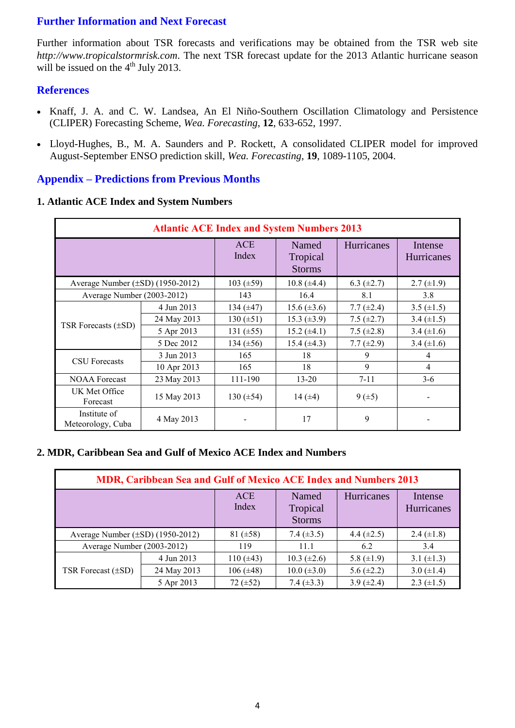# **Further Information and Next Forecast**

Further information about TSR forecasts and verifications may be obtained from the TSR web site *http://www.tropicalstormrisk.com*. The next TSR forecast update for the 2013 Atlantic hurricane season will be issued on the  $4<sup>th</sup>$  July 2013.

### **References**

- Knaff, J. A. and C. W. Landsea, An El Niño-Southern Oscillation Climatology and Persistence (CLIPER) Forecasting Scheme, *Wea. Forecasting*, **12**, 633-652, 1997.
- [Lloyd-Hughes, B., M. A. Saunders and P. Rockett, A consolidated CLIPER model for improved](http://www.tropicalstormrisk.com/docs/Lloyd-Hughesetal2004.pdf)  [August-September ENSO prediction skill,](http://www.tropicalstormrisk.com/docs/Lloyd-Hughesetal2004.pdf) *Wea. Forecasting*, **19**, 1089-1105, 2004.

### **Appendix – Predictions from Previous Months**

#### **1. Atlantic ACE Index and System Numbers**

| <b>Atlantic ACE Index and System Numbers 2013</b> |             |                     |                                    |                 |                       |  |
|---------------------------------------------------|-------------|---------------------|------------------------------------|-----------------|-----------------------|--|
|                                                   |             | <b>ACE</b><br>Index | Named<br>Tropical<br><b>Storms</b> | Hurricanes      | Intense<br>Hurricanes |  |
| Average Number $(\pm SD)$ (1950-2012)             |             | 103 $(\pm 59)$      | $10.8 (\pm 4.4)$                   | 6.3 $(\pm 2.7)$ | $2.7 \ (\pm 1.9)$     |  |
| Average Number (2003-2012)                        |             | 143                 | 16.4                               | 8.1             | 3.8                   |  |
| TSR Forecasts $(\pm SD)$                          | 4 Jun 2013  | 134 $(\pm 47)$      | $15.6 (\pm 3.6)$                   | 7.7 $(\pm 2.4)$ | 3.5 $(\pm 1.5)$       |  |
|                                                   | 24 May 2013 | $130 (\pm 51)$      | 15.3 $(\pm 3.9)$                   | 7.5 $(\pm 2.7)$ | 3.4 $(\pm 1.5)$       |  |
|                                                   | 5 Apr 2013  | 131 $(\pm 55)$      | $15.2 (\pm 4.1)$                   | 7.5 $(\pm 2.8)$ | 3.4 $(\pm 1.6)$       |  |
|                                                   | 5 Dec 2012  | 134 $(\pm 56)$      | $15.4 (\pm 4.3)$                   | $7.7 (\pm 2.9)$ | 3.4 $(\pm 1.6)$       |  |
|                                                   | 3 Jun 2013  | 165                 | 18                                 | 9               | 4                     |  |
| <b>CSU</b> Forecasts                              | 10 Apr 2013 | 165                 | 18                                 | 9               | 4                     |  |
| <b>NOAA Forecast</b>                              | 23 May 2013 | 111-190             | $13 - 20$                          | $7 - 11$        | $3-6$                 |  |
| UK Met Office<br>Forecast                         | 15 May 2013 | 130 $(\pm 54)$      | 14 $(±4)$                          | 9(.5)           |                       |  |
| Institute of<br>Meteorology, Cuba                 | 4 May 2013  |                     | 17                                 | 9               |                       |  |

#### **2. MDR, Caribbean Sea and Gulf of Mexico ACE Index and Numbers**

| <b>MDR, Caribbean Sea and Gulf of Mexico ACE Index and Numbers 2013</b> |             |                     |                                    |                 |                              |  |  |
|-------------------------------------------------------------------------|-------------|---------------------|------------------------------------|-----------------|------------------------------|--|--|
|                                                                         |             | <b>ACE</b><br>Index | Named<br>Tropical<br><b>Storms</b> | Hurricanes      | Intense<br><b>Hurricanes</b> |  |  |
| Average Number $(\pm SD)$ (1950-2012)                                   |             | 81 $(\pm 58)$       | 7.4 $(\pm 3.5)$                    | 4.4 $(\pm 2.5)$ | 2.4 $(\pm 1.8)$              |  |  |
| Average Number (2003-2012)                                              |             | 119                 | 11.1                               | 6.2             | 3.4                          |  |  |
|                                                                         | 4 Jun 2013  | $110 (\pm 43)$      | $10.3 \ (\pm 2.6)$                 | 5.8 $(\pm 1.9)$ | 3.1 $(\pm 1.3)$              |  |  |
| TSR Forecast $(\pm SD)$                                                 | 24 May 2013 | 106 $(\pm 48)$      | $10.0 (\pm 3.0)$                   | 5.6 $(\pm 2.2)$ | 3.0 $(\pm 1.4)$              |  |  |
|                                                                         | 5 Apr 2013  | $72 (\pm 52)$       | 7.4 $(\pm 3.3)$                    | 3.9 $(\pm 2.4)$ | 2.3 $(\pm 1.5)$              |  |  |